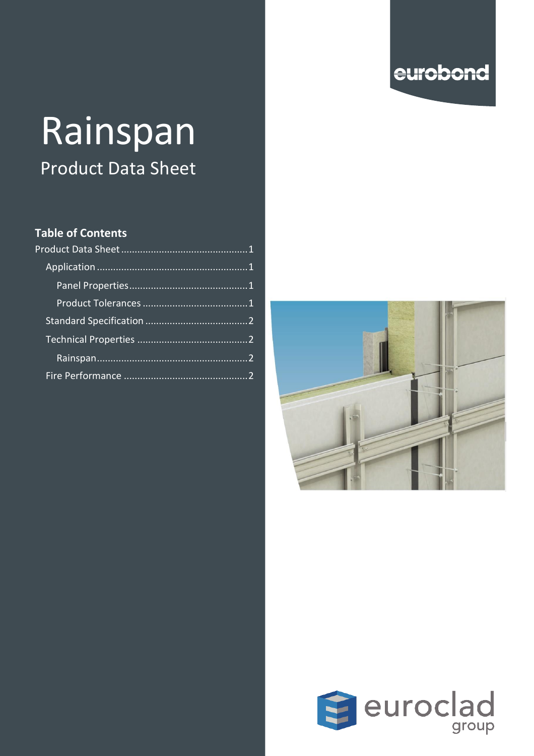# eurobond

# Rainspan Product Data Sheet

#### **Table of Contents**

<span id="page-0-0"></span>



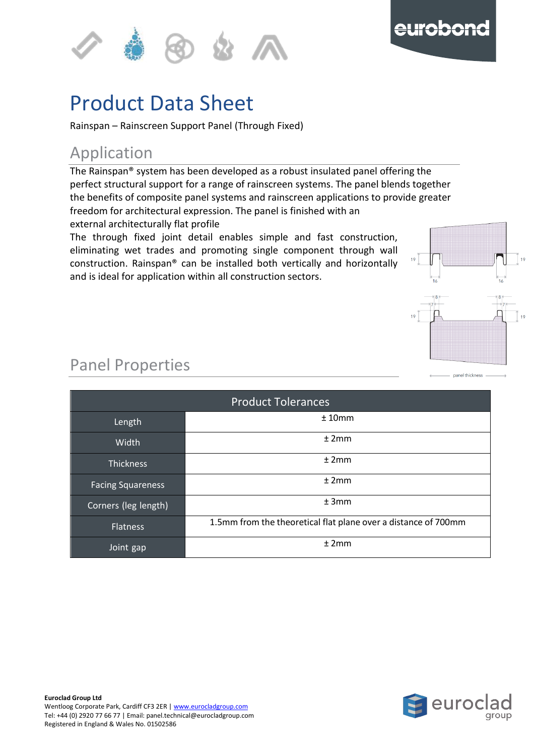



#### u Product Data Sheet

e

p Rainspan – Rainscreen Support Panel (Through Fixed)

## <span id="page-1-0"></span>Application

l The Rainspan® system has been developed as a robust insulated panel offering the perfect structural support for a range of rainscreen systems. The panel blends together the benefits of composite panel systems and rainscreen applications to provide greater are benefits of composite panel systems and ramsereen approacher freedom for architectural expression. The panel is finished with an external architecturally flat profile

<span id="page-1-1"></span>The through fixed joint detail enables simple and fast construction, eliminating wet trades and promoting single component through wall construction. Rainspan® can be installed both vertically and horizontally and is ideal for application within all construction sectors.



panel thickness

## Panel Properties

<span id="page-1-2"></span>

| <b>Product Tolerances</b> |                                                                |  |  |  |  |  |  |
|---------------------------|----------------------------------------------------------------|--|--|--|--|--|--|
| Length                    | ±10mm                                                          |  |  |  |  |  |  |
| Width                     | ±2mm                                                           |  |  |  |  |  |  |
| <b>Thickness</b>          | ±2mm                                                           |  |  |  |  |  |  |
| <b>Facing Squareness</b>  | ±2mm                                                           |  |  |  |  |  |  |
| Corners (leg length)      | ±3mm                                                           |  |  |  |  |  |  |
| <b>Flatness</b>           | 1.5mm from the theoretical flat plane over a distance of 700mm |  |  |  |  |  |  |
| Joint gap                 | ±2mm                                                           |  |  |  |  |  |  |